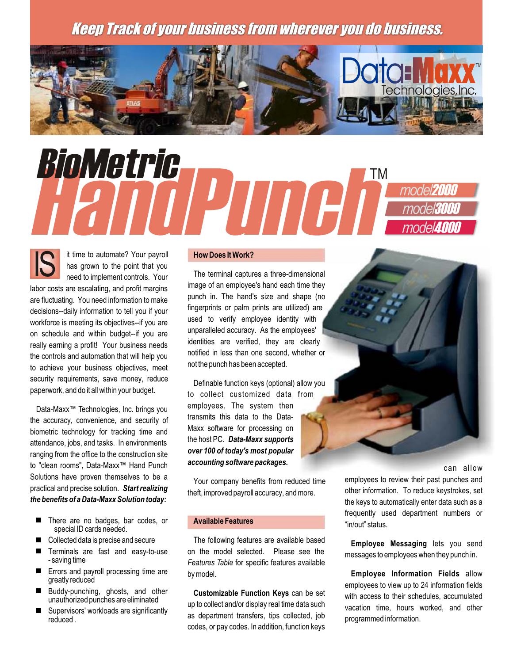## Keep Track of your business from wherever you do business.



# HandPunch BioMetric Andrew Marine *model*2000 *model*3000 *model*4000

IS it time to automate? Your payroll **How Does It Work?** has grown to the point that you are fluctuating. You need information to make punch in. The hand's size and shape (no<br>decisions-daily information to tell you if your fingerprints or palm prints are utilized) are decisions--daily information to tell you if your and all prints or paim prints are utilized) are dentity with workforce is meeting its objectives--if you are a sequently employee identity with with workforce is meeting its objectives--if you are a unparalleled accuracy. As the employees' on schedule and within budget--if you are unparalleled accuracy. As the employees<br>really earning a profitly Your business needs identities are verified, they are clearly the controls and automation that will help you not the controls and automation that will help you not the punch has been accepted. to achieve your business objectives, meet security requirements, save money, reduce<br>  $\begin{array}{ccc} \text{Definable function keys (optional) allow you\n} \end{array}$ 

Data-Maxx<sup>™</sup> Technologies, Inc. brings you employees. The system then Data-<br>De accuracy convenience and security of transmits this data to the Datathe accuracy, convenience, and security of the ansimits this data to the Data-<br>highertic technology for tracking time and Maxx software for processing on biometric technology for tracking time and<br>attendance jobs and tasks, in environments the host PC. Data-Maxx supports attendance, jobs, and tasks. In environments attendance, jobs, and tasks. In environments and the nost PO of today's most popular ranging from the office to the construction site *over 100 of today's most popular ranging software packages.* to "clean rooms", Data-Maxx™ Hand Punch accounting software packages.<br>Solutions have proven themselves to be a series and solutions have allow any produced time a semployees to review their past punches and

- There are no badges, bar codes, or **Available Features** "in/out" status. special ID cards needed.
- 
- 
- Errors and payroll processing time are by model. **Employee Information Fields** allow greatly reduced and processing time are by model.
- 
- 

The terminal captures a three-dimensional<br>are oscalating and profit margins image of an employee's hand each time they labor costs are escalating, and profit margins<br>are fluctuating. You pood information to make a spunch in. The hand's size and shape (no really earning a profit! Your business needs<br>the controls and outcometion that will belp you. The motified in less than one second, whether or

to collect customized data from

■ Collected data is precise and secure The following features are available based **Employee Messaging** lets you send<br>■ Terminals are fast and easy-to-use on the model selected. Please see the messages to employees when th Features Table for spected. Please see the messages to employees when they punch in.<br>- saving time *Features Table* for specific features available<br>**Errors and payroll processing time are** by model by model **Fundave Inform** 

codes, or pay codes. In addition, function keys

Solutions have proven themselves to be a Your company benefits from reduced time employees to review their past punches and practical and precise solution. Start realizing the functional practical and precise solution. Sta practical and precise solution. *Start realizing* theft, improved payroll accuracy, and more. other information. To reduce keystrokes, set the **benefits of a Data-Maxx Solution today:** the ft. improved payroll accuracy, an the keys to automatically enter data such as a frequently used department numbers or

greatly reduced<br>Buddy-punching, ghosts, and other **Customizable Function Keys** can be set with access to their cabodules accumulated ■ Buddy-punching, ghosts, and other **Customizable Function Keys** can be set<br>
unauthorized punches are eliminated up to collect and/or display real time data such<br>
Supervisors' workloads are significantly as department tra